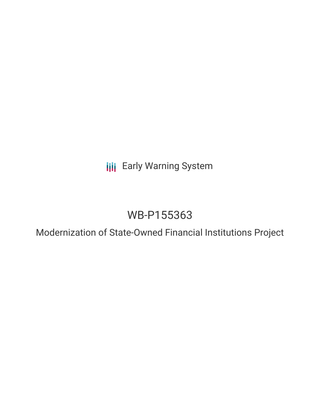**III** Early Warning System

## WB-P155363

Modernization of State-Owned Financial Institutions Project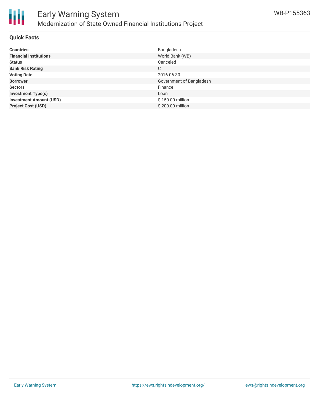

#### **Quick Facts**

| <b>Countries</b>               | Bangladesh               |
|--------------------------------|--------------------------|
| <b>Financial Institutions</b>  | World Bank (WB)          |
| <b>Status</b>                  | Canceled                 |
| <b>Bank Risk Rating</b>        | C                        |
| <b>Voting Date</b>             | 2016-06-30               |
| <b>Borrower</b>                | Government of Bangladesh |
| <b>Sectors</b>                 | Finance                  |
| <b>Investment Type(s)</b>      | Loan                     |
| <b>Investment Amount (USD)</b> | \$150.00 million         |
| <b>Project Cost (USD)</b>      | \$200.00 million         |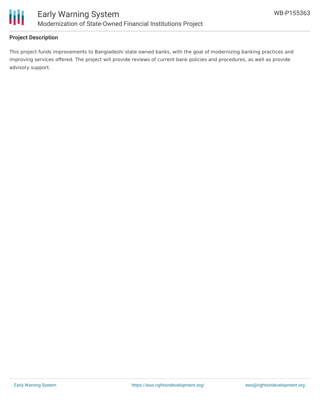

### **Project Description**

This project funds improvements to Bangladeshi state owned banks, with the goal of modernizing banking practices and improving services offered. The project will provide reviews of current bank policies and procedures, as well as provide advisory support.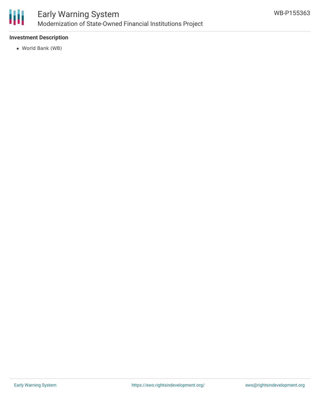

#### **Investment Description**

World Bank (WB)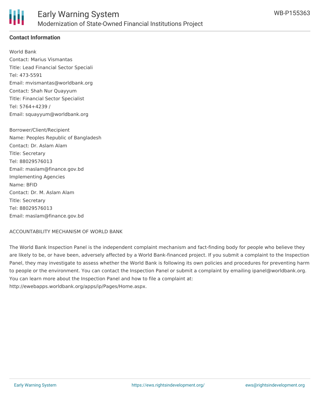

### **Contact Information**

World Bank Contact: Marius Vismantas Title: Lead Financial Sector Speciali Tel: 473-5591 Email: mvismantas@worldbank.org Contact: Shah Nur Quayyum Title: Financial Sector Specialist Tel: 5764+4239 / Email: squayyum@worldbank.org

Borrower/Client/Recipient Name: Peoples Republic of Bangladesh Contact: Dr. Aslam Alam Title: Secretary Tel: 88029576013 Email: maslam@finance.gov.bd Implementing Agencies Name: BFID Contact: Dr. M. Aslam Alam Title: Secretary Tel: 88029576013 Email: maslam@finance.gov.bd

ACCOUNTABILITY MECHANISM OF WORLD BANK

The World Bank Inspection Panel is the independent complaint mechanism and fact-finding body for people who believe they are likely to be, or have been, adversely affected by a World Bank-financed project. If you submit a complaint to the Inspection Panel, they may investigate to assess whether the World Bank is following its own policies and procedures for preventing harm to people or the environment. You can contact the Inspection Panel or submit a complaint by emailing ipanel@worldbank.org. You can learn more about the Inspection Panel and how to file a complaint at: http://ewebapps.worldbank.org/apps/ip/Pages/Home.aspx.